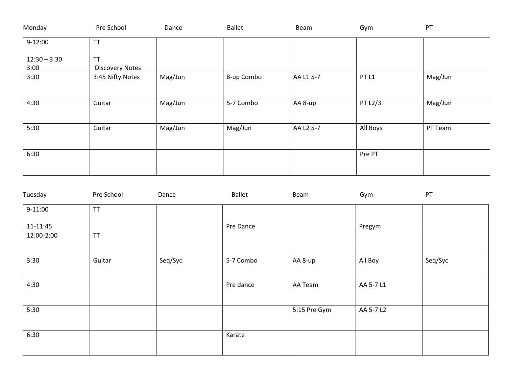| Monday                 | Pre School                          | Dance   | <b>Ballet</b> | Beam      | Gym              | PT      |
|------------------------|-------------------------------------|---------|---------------|-----------|------------------|---------|
| $9-12:00$              | <b>TT</b>                           |         |               |           |                  |         |
| $12:30 - 3:30$<br>3:00 | <b>TT</b><br><b>Discovery Notes</b> |         |               |           |                  |         |
| 3:30                   | 3:45 Nifty Notes                    | Mag/Jun | 8-up Combo    | AA L1 5-7 | PT <sub>L1</sub> | Mag/Jun |
| 4:30                   | Guitar                              | Mag/Jun | 5-7 Combo     | AA 8-up   | PT L2/3          | Mag/Jun |
| 5:30                   | Guitar                              | Mag/Jun | Mag/Jun       | AA L2 5-7 | All Boys         | PT Team |
| 6:30                   |                                     |         |               |           | Pre PT           |         |

| Tuesday    | Pre School | Dance   | <b>Ballet</b> | Beam         | Gym       | PT      |  |
|------------|------------|---------|---------------|--------------|-----------|---------|--|
| $9-11:00$  | <b>TT</b>  |         |               |              |           |         |  |
| 11-11:45   |            |         | Pre Dance     |              | Pregym    |         |  |
| 12:00-2:00 | <b>TT</b>  |         |               |              |           |         |  |
|            |            |         |               |              |           |         |  |
| 3:30       | Guitar     | Seq/Syc | 5-7 Combo     | AA 8-up      | All Boy   | Seq/Syc |  |
|            |            |         |               |              |           |         |  |
| 4:30       |            |         | Pre dance     | AA Team      | AA 5-7 L1 |         |  |
|            |            |         |               |              |           |         |  |
| 5:30       |            |         |               | 5:15 Pre Gym | AA 5-7 L2 |         |  |
|            |            |         |               |              |           |         |  |
| 6:30       |            |         | Karate        |              |           |         |  |
|            |            |         |               |              |           |         |  |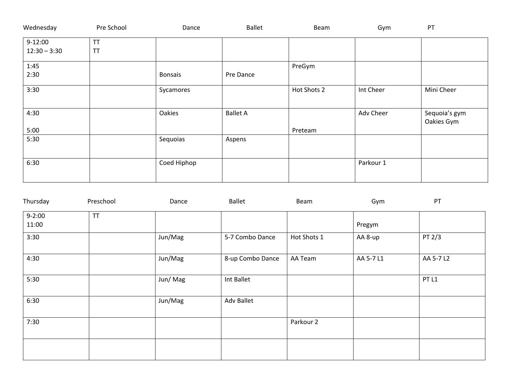| Wednesday      | Pre School | Dance       | <b>Ballet</b>   | Beam        | Gym       | PT                          |
|----------------|------------|-------------|-----------------|-------------|-----------|-----------------------------|
| $9-12:00$      | <b>TT</b>  |             |                 |             |           |                             |
| $12:30 - 3:30$ | <b>TT</b>  |             |                 |             |           |                             |
| 1:45           |            |             |                 | PreGym      |           |                             |
| 2:30           |            | Bonsais     | Pre Dance       |             |           |                             |
| 3:30           |            | Sycamores   |                 | Hot Shots 2 | Int Cheer | Mini Cheer                  |
| 4:30           |            | Oakies      | <b>Ballet A</b> |             | Adv Cheer | Sequoia's gym<br>Oakies Gym |
| 5:00           |            |             |                 | Preteam     |           |                             |
| 5:30           |            | Sequoias    | Aspens          |             |           |                             |
| 6:30           |            | Coed Hiphop |                 |             | Parkour 1 |                             |

| Thursday   | Preschool | Dance   | <b>Ballet</b>     | Beam        | Gym       | PT               |
|------------|-----------|---------|-------------------|-------------|-----------|------------------|
| $9 - 2:00$ | <b>TT</b> |         |                   |             |           |                  |
| 11:00      |           |         |                   |             | Pregym    |                  |
| 3:30       |           | Jun/Mag | 5-7 Combo Dance   | Hot Shots 1 | AA 8-up   | PT 2/3           |
| 4:30       |           | Jun/Mag | 8-up Combo Dance  | AA Team     | AA 5-7 L1 | AA 5-7 L2        |
| 5:30       |           | Jun/Mag | Int Ballet        |             |           | PT <sub>L1</sub> |
| 6:30       |           | Jun/Mag | <b>Adv Ballet</b> |             |           |                  |
| 7:30       |           |         |                   | Parkour 2   |           |                  |
|            |           |         |                   |             |           |                  |